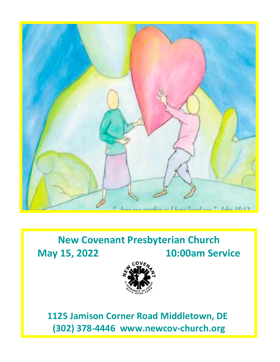

# **New Covenant Presbyterian Church May 15, 2022 10:00am Service**



 **1125 Jamison Corner Road Middletown, DE (302) 378-4446 www.newcov-church.org**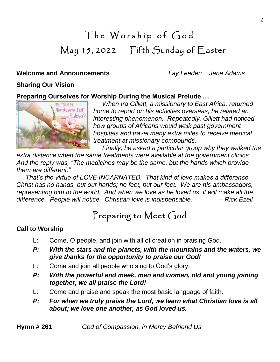# The Worship of God May 15, 2022 Fifth Sunday of Easter

### **Welcome and Announcements** *Lay Leader: Jane Adams*

### **Sharing Our Vision**

### **Preparing Ourselves for Worship During the Musical Prelude …**



*When Ira Gillett, a missionary to East Africa, returned home to report on his activities overseas, he related an interesting phenomenon. Repeatedly, Gillett had noticed how groups of Africans would walk past government hospitals and travel many extra miles to receive medical treatment at missionary compounds.*

 *Finally, he asked a particular group why they walked the extra distance when the same treatments were available at the government clinics. And the reply was, "The medicines may be the same, but the hands which provide them are different."*

 *That's the virtue of LOVE INCARNATED. That kind of love makes a difference. Christ has no hands, but our hands; no feet, but our feet. We are his ambassadors, representing him to the world. And when we love as he loved us, it will make all the difference. People will notice. Christian love is indispensable. – Rick Ezell*

# Preparing to Meet God

### **Call to Worship**

- L: Come, O people, and join with all of creation in praising God.
- *P: With the stars and the planets, with the mountains and the waters, we give thanks for the opportunity to praise our God!*
- L: Come and join all people who sing to God's glory.
- *P: With the powerful and meek, men and women, old and young joining together, we all praise the Lord!*
- L: Come and praise and speak the most basic language of faith.
- *P: For when we truly praise the Lord, we learn what Christian love is all about; we love one another, as God loved us.*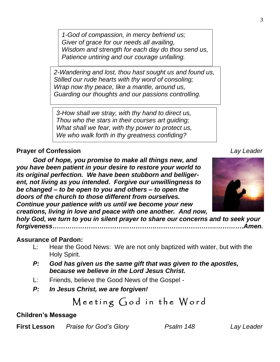*1-God of compassion, in mercy befriend us; Giver of grace for our needs all availing, Wisdom and strength for each day do thou send us, Patience untiring and our courage unfailing.*

*2-Wandering and lost, thou hast sought us and found us, Stilled our rude hearts with thy word of consoling; Wrap now thy peace, like a mantle, around us, Guarding our thoughts and our passions controlling.*

*3-How shall we stray, with thy hand to direct us, Thou who the stars in their courses art guiding; What shall we fear, with thy power to protect us, We who walk forth in thy greatness confiding?*

## **Prayer of Confession** *Lay Leader*

*God of hope, you promise to make all things new, and you have been patient in your desire to restore your world to its original perfection. We have been stubborn and belligerent, not living as you intended. Forgive our unwillingness to be changed – to be open to you and others – to open the doors of the church to those different from ourselves. Continue your patience with us until we become your new creations, living in love and peace with one another. And now,* 

*holy God, we turn to you in silent prayer to share our concerns and to seek your forgiveness………………………………………….……………………….………….Amen.*

### **Assurance of Pardon:**

- L: Hear the Good News: We are not only baptized with water, but with the Holy Spirit.
- *P: God has given us the same gift that was given to the apostles, because we believe in the Lord Jesus Christ.*
- L: Friends, believe the Good News of the Gospel -
- *P: In Jesus Christ, we are forgiven!*

Meeting God in the Word

#### **Children's Message**

**First Lesson** *Praise for God's Glory Psalm 148 Lay Leader*

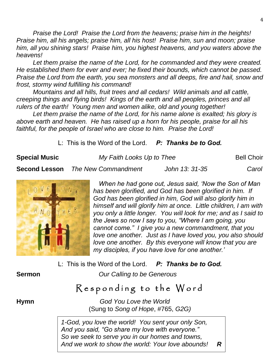*Praise the Lord! Praise the Lord from the heavens; praise him in the heights! Praise him, all his angels; praise him, all his host! Praise him, sun and moon; praise him, all you shining stars! Praise him, you highest heavens, and you waters above the heavens!*

*Let them praise the name of the Lord, for he commanded and they were created. He established them for ever and ever; he fixed their bounds, which cannot be passed. Praise the Lord from the earth, you sea monsters and all deeps, fire and hail, snow and frost, stormy wind fulfilling his command!*

*Mountains and all hills, fruit trees and all cedars! Wild animals and all cattle, creeping things and flying birds! Kings of the earth and all peoples, princes and all rulers of the earth! Young men and women alike, old and young together!*

*Let them praise the name of the Lord, for his name alone is exalted; his glory is above earth and heaven. He has raised up a horn for his people, praise for all his faithful, for the people of Israel who are close to him. Praise the Lord!*

L: This is the Word of the Lord. *P: Thanks be to God.*

**Special Music** *My Faith Looks Up to Thee* **<b>Bell Choir Bell Choir Second Lesson** *The New Commandment John 13: 31-35 Carol*

 $AMO$ 

*When he had gone out, Jesus said, 'Now the Son of Man has been glorified, and God has been glorified in him. If God has been glorified in him, God will also glorify him in himself and will glorify him at once. Little children, I am with you only a little longer. You will look for me; and as I said to the Jews so now I say to you, "Where I am going, you cannot come." I give you a new commandment, that you love one another. Just as I have loved you, you also should love one another. By this everyone will know that you are my disciples, if you have love for one another.'*

L: This is the Word of the Lord. *P: Thanks be to God.*

**Sermon** *Our Calling to be Generous*

# Responding to the Word

**Hymn** *God You Love the World* (Sung to *Song of Hope*, #765, *G2G)*

> *1-God, you love the world! You sent your only Son, And you said, "Go share my love with everyone." So we seek to serve you in our homes and towns, And we work to show the world: Your love abounds! R*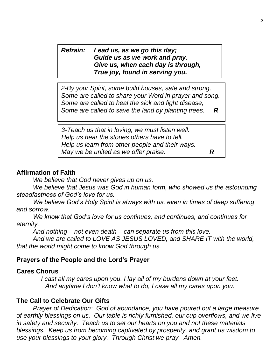*Refrain: Lead us, as we go this day; Guide us as we work and pray. Give us, when each day is through, True joy, found in serving you.*

*2-By your Spirit, some build houses, safe and strong, Some are called to share your Word in prayer and song. Some are called to heal the sick and fight disease, Some are called to save the land by planting trees. R*

*3-Teach us that in loving, we must listen well. Help us hear the stories others have to tell. Help us learn from other people and their ways. May we be united as we offer praise. R*

### **Affirmation of Faith**

*We believe that God never gives up on us.*

We believe that Jesus was God in human form, who showed us the astounding *steadfastness of God's love for us.*

*We believe God's Holy Spirit is always with us, even in times of deep suffering and sorrow.*

*We know that God's love for us continues, and continues, and continues for eternity.*

*And nothing – not even death – can separate us from this love.*

*And we are called to LOVE AS JESUS LOVED, and SHARE IT with the world, that the world might come to know God through us.*

### **Prayers of the People and the Lord's Prayer**

### **Cares Chorus**

*I cast all my cares upon you. I lay all of my burdens down at your feet. And anytime I don't know what to do, I case all my cares upon you.*

## **The Call to Celebrate Our Gifts**

*Prayer of Dedication: God of abundance, you have poured out a large measure of earthly blessings on us. Our table is richly furnished, our cup overflows, and we live in safety and security. Teach us to set our hearts on you and not these materials blessings. Keep us from becoming captivated by prosperity, and grant us wisdom to use your blessings to your glory. Through Christ we pray. Amen.*